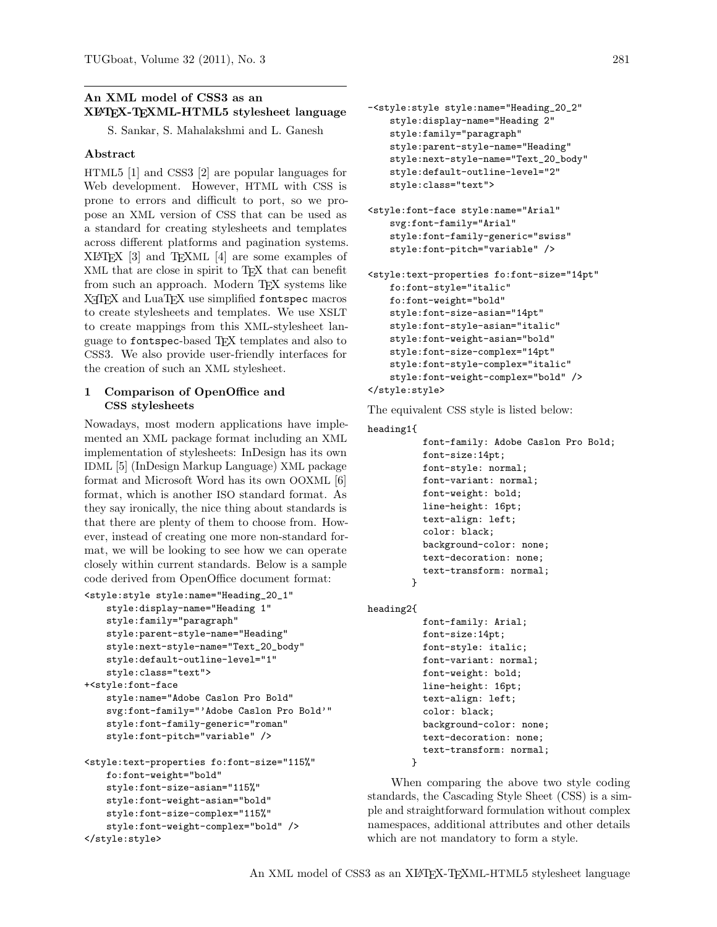# An XML model of CSS3 as an XLATEX-TEXML-HTML5 stylesheet language

S. Sankar, S. Mahalakshmi and L. Ganesh

### Abstract

HTML5 [\[1\]](#page-3-0) and CSS3 [\[2\]](#page-3-1) are popular languages for Web development. However, HTML with CSS is prone to errors and difficult to port, so we propose an XML version of CSS that can be used as a standard for creating stylesheets and templates across different platforms and pagination systems. XLATEX [\[3\]](#page-3-2) and TEXML [\[4\]](#page-3-3) are some examples of XML that are close in spirit to TEX that can benefit from such an approach. Modern TFX systems like X<sub>T</sub>T<sub>F</sub>X and LuaT<sub>F</sub>X use simplified <fontspec> macros to create stylesheets and templates. We use XSLT to create mappings from this XML-stylesheet language to <fontspec>-based TEX templates and also to CSS3. We also provide user-friendly interfaces for the creation of such an XML stylesheet.

### 1 Comparison of OpenOffice and CSS stylesheets

Nowadays, most modern applications have implemented an XML package format including an XML implementation of stylesheets: InDesign has its own IDML [\[5\]](#page-3-4) (InDesign Markup Language) XML package format and Microsoft Word has its own OOXML [\[6\]](#page-3-5) format, which is another ISO standard format. As they say ironically, the nice thing about standards is that there are plenty of them to choose from. However, instead of creating one more non-standard format, we will be looking to see how we can operate closely within current standards. Below is a sample code derived from OpenOffice document format:

```
<style:style style:name="Heading_20_1"
    style:display-name="Heading 1"
    style:family="paragraph"
    style:parent-style-name="Heading"
    style:next-style-name="Text_20_body"
    style:default-outline-level="1"
    style:class="text">
+<style:font-face
    style:name="Adobe Caslon Pro Bold"
    svg:font-family="'Adobe Caslon Pro Bold'"
    style:font-family-generic="roman"
    style:font-pitch="variable" />
<style:text-properties fo:font-size="115%"
    fo:font-weight="bold"
    style:font-size-asian="115%"
    style:font-weight-asian="bold"
    style:font-size-complex="115%"
    style:font-weight-complex="bold" />
</style:style>
```

```
-<style:style style:name="Heading_20_2"
   style:display-name="Heading 2"
   style:family="paragraph"
   style:parent-style-name="Heading"
   style:next-style-name="Text_20_body"
   style:default-outline-level="2"
   style:class="text">
```

```
<style:font-face style:name="Arial"
   svg:font-family="Arial"
   style:font-family-generic="swiss"
   style:font-pitch="variable" />
```

```
<style:text-properties fo:font-size="14pt"
   fo:font-style="italic"
   fo:font-weight="bold"
   style:font-size-asian="14pt"
   style:font-style-asian="italic"
   style:font-weight-asian="bold"
   style:font-size-complex="14pt"
   style:font-style-complex="italic"
   style:font-weight-complex="bold" />
</style:style>
```
The equivalent CSS style is listed below:

```
heading1{
          font-family: Adobe Caslon Pro Bold;
          font-size:14pt;
          font-style: normal;
          font-variant: normal;
          font-weight: bold;
          line-height: 16pt;
          text-align: left;
          color: black;
          background-color: none;
          text-decoration: none;
          text-transform: normal;
        }
```

```
heading2{
```

```
font-family: Arial;
  font-size:14pt;
 font-style: italic;
  font-variant: normal;
  font-weight: bold;
  line-height: 16pt;
  text-align: left;
  color: black;
 background-color: none;
 text-decoration: none;
  text-transform: normal;
}
```
When comparing the above two style coding standards, the Cascading Style Sheet (CSS) is a simple and straightforward formulation without complex namespaces, additional attributes and other details which are not mandatory to form a style.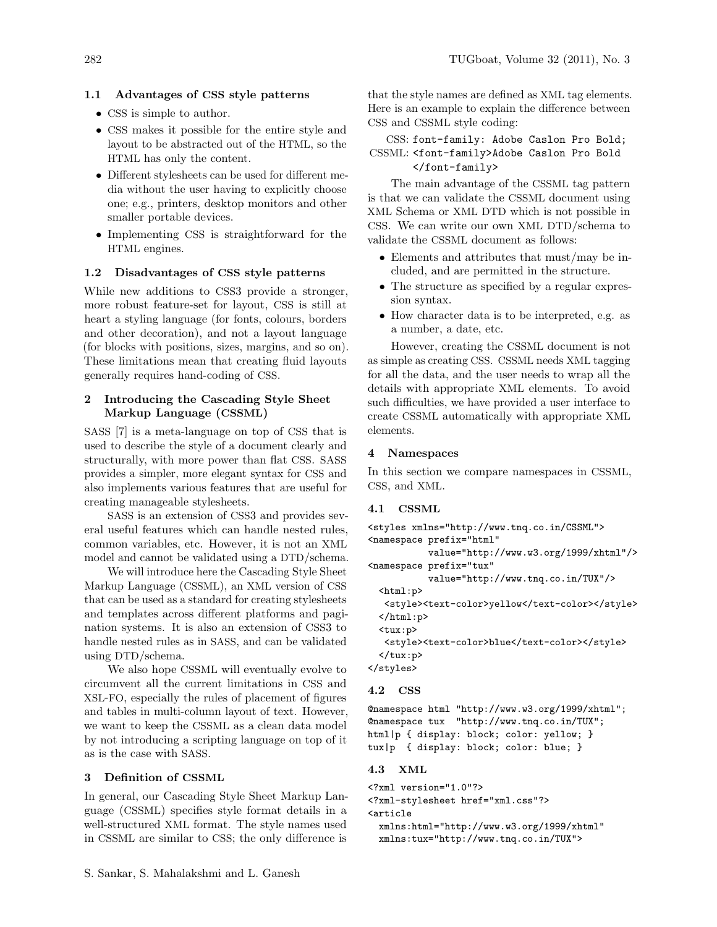### 1.1 Advantages of CSS style patterns

- CSS is simple to author.
- CSS makes it possible for the entire style and layout to be abstracted out of the HTML, so the HTML has only the content.
- Different stylesheets can be used for different media without the user having to explicitly choose one; e.g., printers, desktop monitors and other smaller portable devices.
- Implementing CSS is straightforward for the HTML engines.

#### 1.2 Disadvantages of CSS style patterns

While new additions to CSS3 provide a stronger, more robust feature-set for layout, CSS is still at heart a styling language (for fonts, colours, borders and other decoration), and not a layout language (for blocks with positions, sizes, margins, and so on). These limitations mean that creating fluid layouts generally requires hand-coding of CSS.

## 2 Introducing the Cascading Style Sheet Markup Language (CSSML)

SASS [\[7\]](#page-3-6) is a meta-language on top of CSS that is used to describe the style of a document clearly and structurally, with more power than flat CSS. SASS provides a simpler, more elegant syntax for CSS and also implements various features that are useful for creating manageable stylesheets.

SASS is an extension of CSS3 and provides several useful features which can handle nested rules, common variables, etc. However, it is not an XML model and cannot be validated using a DTD/schema.

We will introduce here the Cascading Style Sheet Markup Language (CSSML), an XML version of CSS that can be used as a standard for creating stylesheets and templates across different platforms and pagination systems. It is also an extension of CSS3 to handle nested rules as in SASS, and can be validated using DTD/schema.

We also hope CSSML will eventually evolve to circumvent all the current limitations in CSS and XSL-FO, especially the rules of placement of figures and tables in multi-column layout of text. However, we want to keep the CSSML as a clean data model by not introducing a scripting language on top of it as is the case with SASS.

#### 3 Definition of CSSML

In general, our Cascading Style Sheet Markup Language (CSSML) specifies style format details in a well-structured XML format. The style names used in CSSML are similar to CSS; the only difference is that the style names are defined as XML tag elements. Here is an example to explain the difference between CSS and CSSML style coding:

## CSS: font-family: Adobe Caslon Pro Bold; CSSML: <font-family>Adobe Caslon Pro Bold </font-family>

The main advantage of the CSSML tag pattern is that we can validate the CSSML document using XML Schema or XML DTD which is not possible in CSS. We can write our own XML DTD/schema to validate the CSSML document as follows:

- Elements and attributes that must/may be included, and are permitted in the structure.
- The structure as specified by a regular expression syntax.
- How character data is to be interpreted, e.g. as a number, a date, etc.

However, creating the CSSML document is not as simple as creating CSS. CSSML needs XML tagging for all the data, and the user needs to wrap all the details with appropriate XML elements. To avoid such difficulties, we have provided a user interface to create CSSML automatically with appropriate XML elements.

#### 4 Namespaces

In this section we compare namespaces in CSSML, CSS, and XML.

#### 4.1 CSSML

```
<styles xmlns="http://www.tnq.co.in/CSSML">
<namespace prefix="html"
           value="http://www.w3.org/1999/xhtml"/>
<namespace prefix="tux"
           value="http://www.tnq.co.in/TUX"/>
  \texttt{html:}p<style><text-color>yellow</text-color></style>
  </html:p>
  <tux:p>
   <style><text-color>blue</text-color></style>
  </tux:p>
</styles>
4.2 CSS
```
@namespace html "http://www.w3.org/1999/xhtml"; @namespace tux "http://www.tnq.co.in/TUX"; html|p { display: block; color: yellow; } tux|p { display: block; color: blue; }

#### 4.3 XML

<?xml version="1.0"?>

<?xml-stylesheet href="xml.css"?> <article

xmlns:html="http://www.w3.org/1999/xhtml" xmlns:tux="http://www.tnq.co.in/TUX">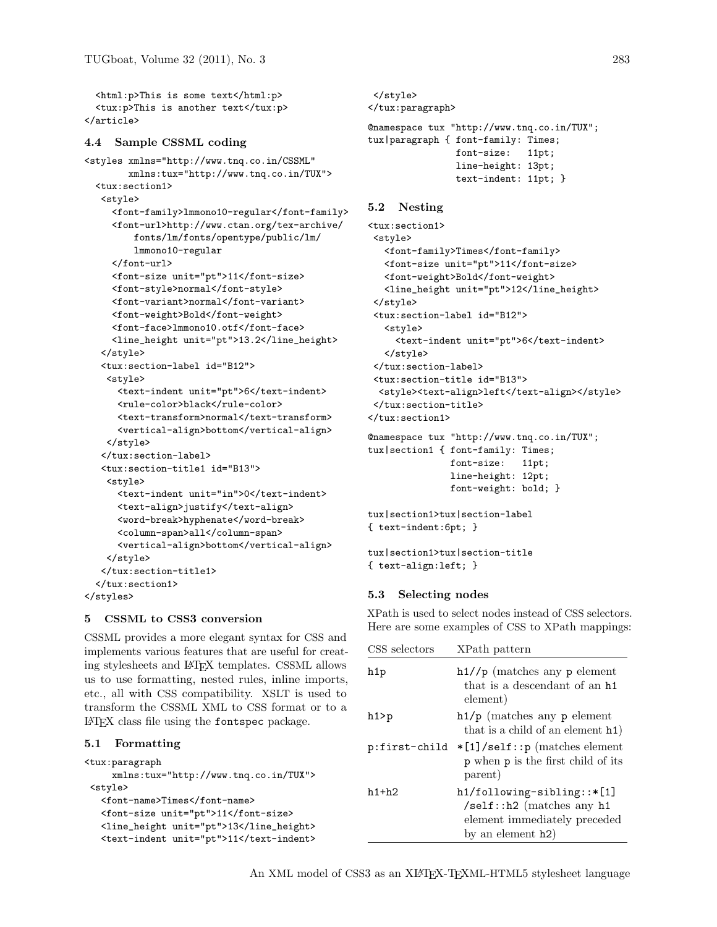<html:p>This is some text</html:p> <tux:p>This is another text</tux:p> </article>

#### 4.4 Sample CSSML coding

```
<styles xmlns="http://www.tnq.co.in/CSSML"
        xmlns:tux="http://www.tnq.co.in/TUX">
  <tux:section1>
   <style>
     <font-family>lmmono10-regular</font-family>
     <font-url>http://www.ctan.org/tex-archive/
         fonts/lm/fonts/opentype/public/lm/
         lmmono10-regular
     </font-url>
     <font-size unit="pt">11</font-size>
     <font-style>normal</font-style>
     <font-variant>normal</font-variant>
     <font-weight>Bold</font-weight>
     <font-face>lmmono10.otf</font-face>
     <line_height unit="pt">13.2</line_height>
   </style>
   <tux:section-label id="B12">
    <style>
      <text-indent unit="pt">6</text-indent>
      <rule-color>black</rule-color>
      <text-transform>normal</text-transform>
      <vertical-align>bottom</vertical-align>
    </style>
   </tux:section-label>
   <tux:section-title1 id="B13">
    <style>
      <text-indent unit="in">0</text-indent>
      <text-align>justify</text-align>
      <word-break>hyphenate</word-break>
      <column-span>all</column-span>
      <vertical-align>bottom</vertical-align>
    </style>
   </tux:section-title1>
  </tux:section1>
</styles>
```
### 5 CSSML to CSS3 conversion

CSSML provides a more elegant syntax for CSS and implements various features that are useful for creating stylesheets and LATEX templates. CSSML allows us to use formatting, nested rules, inline imports, etc., all with CSS compatibility. XSLT is used to transform the CSSML XML to CSS format or to a LATEX class file using the <fontspec> package.

### 5.1 Formatting

```
<tux:paragraph
    xmlns:tux="http://www.tnq.co.in/TUX">
<style>
  <font-name>Times</font-name>
  <font-size unit="pt">11</font-size>
  <line_height unit="pt">13</line_height>
  <text-indent unit="pt">11</text-indent>
```

```
</style>
</tux:paragraph>
@namespace tux "http://www.tnq.co.in/TUX";
tux|paragraph { font-family: Times;
                font-size: 11pt;
               line-height: 13pt;
                text-indent: 11pt; }
```
## 5.2 Nesting

```
<tux:section1>
<style>
  <font-family>Times</font-family>
  <font-size unit="pt">11</font-size>
  <font-weight>Bold</font-weight>
   <line_height unit="pt">12</line_height>
</style>
<tux:section-label id="B12">
  <style>
    <text-indent unit="pt">6</text-indent>
  </style>
</tux:section-label>
<tux:section-title id="B13">
 <style><text-align>left</text-align></style>
</tux:section-title>
</tux:section1>
@namespace tux "http://www.tnq.co.in/TUX";
tux|section1 { font-family: Times;
               font-size: 11pt;
               line-height: 12pt;
               font-weight: bold; }
```

```
tux|section1>tux|section-label
{ text-indent:6pt; }
```

```
tux|section1>tux|section-title
{ text-align:left; }
```
### 5.3 Selecting nodes

XPath is used to select nodes instead of CSS selectors. Here are some examples of CSS to XPath mappings:

| CSS selectors | XPath pattern                                                                                                                  |
|---------------|--------------------------------------------------------------------------------------------------------------------------------|
| h1p           | $h1//p$ (matches any p element<br>that is a descendant of an h <sub>1</sub><br>element)                                        |
| $h1$ >p       | $h1/p$ (matches any p element<br>that is a child of an element h1)                                                             |
| p:first-child | $*[1]$ /self::p (matches element<br>p when p is the first child of its<br>parent)                                              |
| $h1+h2$       | $h1/following-sibling::*[1]$<br>$\sqrt{\text{self}}$ : h2 (matches any h1<br>element immediately preceded<br>by an element h2) |

An XML model of CSS3 as an XIATEX-TEXML-HTML5 stylesheet language